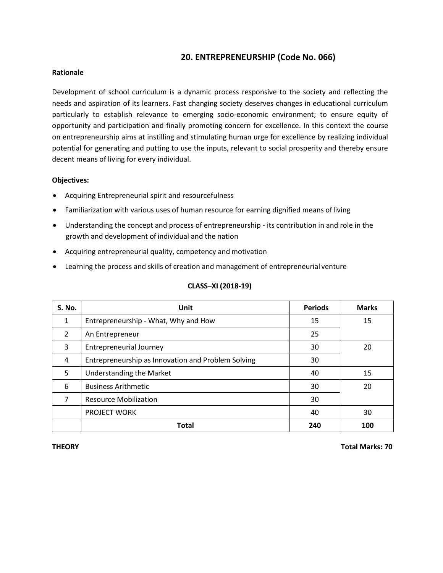## **20. ENTREPRENEURSHIP (Code No. 066)**

### **Rationale**

Development of school curriculum is a dynamic process responsive to the society and reflecting the needs and aspiration of its learners. Fast changing society deserves changes in educational curriculum particularly to establish relevance to emerging socio-economic environment; to ensure equity of opportunity and participation and finally promoting concern for excellence. In this context the course on entrepreneurship aims at instilling and stimulating human urge for excellence by realizing individual potential for generating and putting to use the inputs, relevant to social prosperity and thereby ensure decent means of living for every individual.

## **Objectives:**

- Acquiring Entrepreneurial spirit and resourcefulness
- Familiarization with various uses of human resource for earning dignified means ofliving
- Understanding the concept and process of entrepreneurship its contribution in and role in the growth and development of individual and the nation
- Acquiring entrepreneurial quality, competency and motivation
- Learning the process and skills of creation and management of entrepreneurial venture

| S. No.         | <b>Unit</b>                                        | <b>Periods</b> | <b>Marks</b> |
|----------------|----------------------------------------------------|----------------|--------------|
| 1              | Entrepreneurship - What, Why and How               | 15             | 15           |
| $\overline{2}$ | An Entrepreneur                                    | 25             |              |
| 3              | <b>Entrepreneurial Journey</b>                     | 30             | 20           |
| 4              | Entrepreneurship as Innovation and Problem Solving | 30             |              |
| 5              | Understanding the Market                           | 40             | 15           |
| 6              | <b>Business Arithmetic</b>                         | 30             | 20           |
| 7              | <b>Resource Mobilization</b>                       | 30             |              |
|                | <b>PROJECT WORK</b>                                | 40             | 30           |
|                | <b>Total</b>                                       | 240            | 100          |

## **CLASS–XI (2018-19)**

**THEORY Total Marks: 70**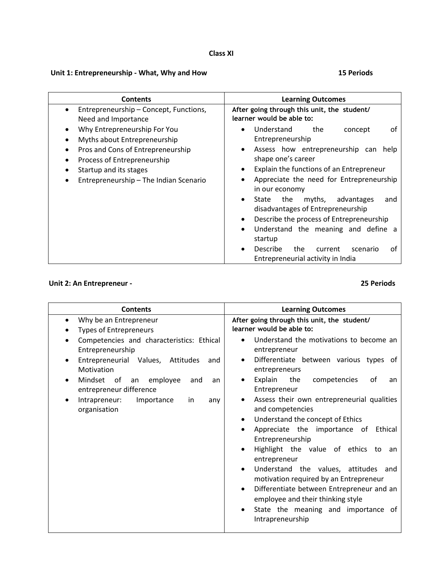## **Class XI**

## **Unit 1: Entrepreneurship - What, Why and How 15 Periods**

| <b>Learning Outcomes</b><br><b>Contents</b>                                                                                                                                                                                                                                                                  |
|--------------------------------------------------------------------------------------------------------------------------------------------------------------------------------------------------------------------------------------------------------------------------------------------------------------|
| Entrepreneurship - Concept, Functions,<br>After going through this unit, the student/<br>learner would be able to:<br>Need and Importance                                                                                                                                                                    |
| Why Entrepreneurship For You<br>Understand<br>the<br>οf<br>concept<br>$\bullet$<br>Entrepreneurship<br>Myths about Entrepreneurship                                                                                                                                                                          |
| Assess how entrepreneurship can help<br>Pros and Cons of Entrepreneurship<br>shape one's career<br>Process of Entrepreneurship<br>Explain the functions of an Entrepreneur<br>Startup and its stages<br>Appreciate the need for Entrepreneurship<br>Entrepreneurship - The Indian Scenario<br>in our economy |
| advantages<br>State<br>the<br>myths,<br>and<br>$\bullet$<br>disadvantages of Entrepreneurship<br>Describe the process of Entrepreneurship<br>Understand the meaning and define a<br>startup<br><b>Describe</b><br>the<br>current<br>οf<br>scenario<br>Entrepreneurial activity in India                      |
|                                                                                                                                                                                                                                                                                                              |

## **Unit 2: An Entrepreneur - 25 Periods**

| <b>Contents</b>                                                                                                                                                                                                                                                                                                      | <b>Learning Outcomes</b>                                                                                                                                                                                                                                                                                                                                                                                                                                                                                                                                                                                                                                                                                                                |
|----------------------------------------------------------------------------------------------------------------------------------------------------------------------------------------------------------------------------------------------------------------------------------------------------------------------|-----------------------------------------------------------------------------------------------------------------------------------------------------------------------------------------------------------------------------------------------------------------------------------------------------------------------------------------------------------------------------------------------------------------------------------------------------------------------------------------------------------------------------------------------------------------------------------------------------------------------------------------------------------------------------------------------------------------------------------------|
| Why be an Entrepreneur<br><b>Types of Entrepreneurs</b><br>Competencies and characteristics: Ethical<br>Entrepreneurship<br>Entrepreneurial Values, Attitudes<br>and<br>Motivation<br>Mindset of<br>an employee<br>and<br>an<br>entrepreneur difference<br>Intrapreneur:<br>Importance<br>in.<br>any<br>organisation | After going through this unit, the student/<br>learner would be able to:<br>Understand the motivations to become an<br>entrepreneur<br>Differentiate between various types of<br>entrepreneurs<br>Explain<br>the<br>competencies<br>οf<br>an<br>Entrepreneur<br>Assess their own entrepreneurial qualities<br>and competencies<br>Understand the concept of Ethics<br>Appreciate the importance of<br>Ethical<br>Entrepreneurship<br>Highlight the value of ethics to<br>an<br>entrepreneur<br>Understand the values, attitudes and<br>motivation required by an Entrepreneur<br>Differentiate between Entrepreneur and an<br>$\bullet$<br>employee and their thinking style<br>State the meaning and importance of<br>Intrapreneurship |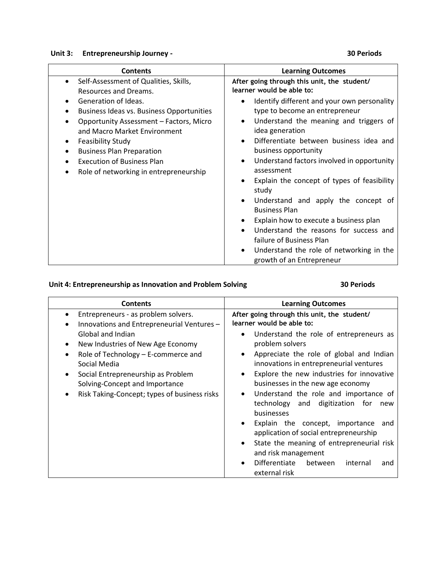# **Unit 3:** Entrepreneurship Journey - 30 Periods

| <b>Contents</b>                                                                                                                                                                                                                                                                                                                                                                   | <b>Learning Outcomes</b>                                                                                                                                                                                                                                                                                                                                                                                                                                                                                                                                                                                                                                                                                                       |
|-----------------------------------------------------------------------------------------------------------------------------------------------------------------------------------------------------------------------------------------------------------------------------------------------------------------------------------------------------------------------------------|--------------------------------------------------------------------------------------------------------------------------------------------------------------------------------------------------------------------------------------------------------------------------------------------------------------------------------------------------------------------------------------------------------------------------------------------------------------------------------------------------------------------------------------------------------------------------------------------------------------------------------------------------------------------------------------------------------------------------------|
| Self-Assessment of Qualities, Skills,<br>$\bullet$<br>Resources and Dreams.<br>Generation of Ideas.<br><b>Business Ideas vs. Business Opportunities</b><br>Opportunity Assessment - Factors, Micro<br>and Macro Market Environment<br><b>Feasibility Study</b><br><b>Business Plan Preparation</b><br><b>Execution of Business Plan</b><br>Role of networking in entrepreneurship | After going through this unit, the student/<br>learner would be able to:<br>Identify different and your own personality<br>$\bullet$<br>type to become an entrepreneur<br>Understand the meaning and triggers of<br>$\bullet$<br>idea generation<br>Differentiate between business idea and<br>$\bullet$<br>business opportunity<br>Understand factors involved in opportunity<br>٠<br>assessment<br>Explain the concept of types of feasibility<br>$\bullet$<br>study<br>Understand and apply the concept of<br><b>Business Plan</b><br>Explain how to execute a business plan<br>Understand the reasons for success and<br>failure of Business Plan<br>Understand the role of networking in the<br>growth of an Entrepreneur |

# **Unit 4: Entrepreneurship as Innovation and Problem Solving 30 Periods**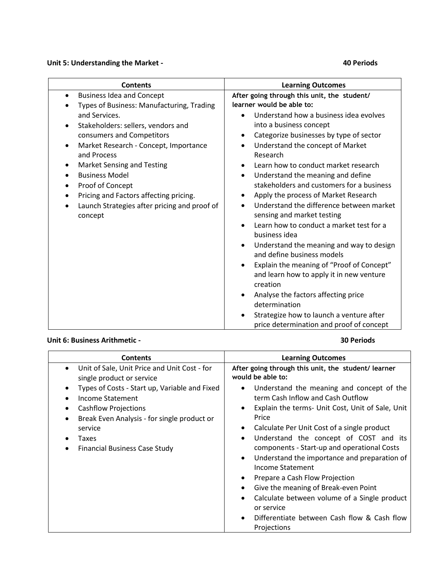### **Unit 5: Understanding the Market - 40 Periods**

| <b>Contents</b>                                                                                                                                                                                                                                                                                                                                                                                | <b>Learning Outcomes</b>                                                                                                                                                                                                                                                                                                                                                                                                                                                                                                                                                                                                                                                                                                                                                                                                                    |  |  |  |
|------------------------------------------------------------------------------------------------------------------------------------------------------------------------------------------------------------------------------------------------------------------------------------------------------------------------------------------------------------------------------------------------|---------------------------------------------------------------------------------------------------------------------------------------------------------------------------------------------------------------------------------------------------------------------------------------------------------------------------------------------------------------------------------------------------------------------------------------------------------------------------------------------------------------------------------------------------------------------------------------------------------------------------------------------------------------------------------------------------------------------------------------------------------------------------------------------------------------------------------------------|--|--|--|
| <b>Business Idea and Concept</b><br>$\bullet$<br>Types of Business: Manufacturing, Trading                                                                                                                                                                                                                                                                                                     | After going through this unit, the student/<br>learner would be able to:                                                                                                                                                                                                                                                                                                                                                                                                                                                                                                                                                                                                                                                                                                                                                                    |  |  |  |
| and Services.<br>Stakeholders: sellers, vendors and<br>$\bullet$<br>consumers and Competitors<br>Market Research - Concept, Importance<br>$\bullet$<br>and Process<br>Market Sensing and Testing<br>٠<br><b>Business Model</b><br>$\bullet$<br>Proof of Concept<br>$\bullet$<br>Pricing and Factors affecting pricing.<br>$\bullet$<br>Launch Strategies after pricing and proof of<br>concept | Understand how a business idea evolves<br>into a business concept<br>Categorize businesses by type of sector<br>$\bullet$<br>Understand the concept of Market<br>$\bullet$<br>Research<br>Learn how to conduct market research<br>Understand the meaning and define<br>$\bullet$<br>stakeholders and customers for a business<br>Apply the process of Market Research<br>Understand the difference between market<br>sensing and market testing<br>Learn how to conduct a market test for a<br>business idea<br>Understand the meaning and way to design<br>and define business models<br>Explain the meaning of "Proof of Concept"<br>and learn how to apply it in new venture<br>creation<br>Analyse the factors affecting price<br>determination<br>Strategize how to launch a venture after<br>price determination and proof of concept |  |  |  |

### **Unit 6: Business Arithmetic - 30 Periods**

### **Contents Learning Outcomes** Unit of Sale, Unit Price and Unit Cost - for single product or service Types of Costs - Start up, Variable and Fixed • Income Statement Cashflow Projections • Break Even Analysis - for single product or service Taxes **•** Financial Business Case Study **After going through this unit, the student/ learner would be able to:** Understand the meaning and concept of the term Cash Inflow and Cash Outflow Explain the terms- Unit Cost, Unit of Sale, Unit Price Calculate Per Unit Cost of a single product Understand the concept of COST and its components - Start-up and operational Costs Understand the importance and preparation of Income Statement • Prepare a Cash Flow Projection Give the meaning of Break-even Point • Calculate between volume of a Single product or service Differentiate between Cash flow & Cash flow Projections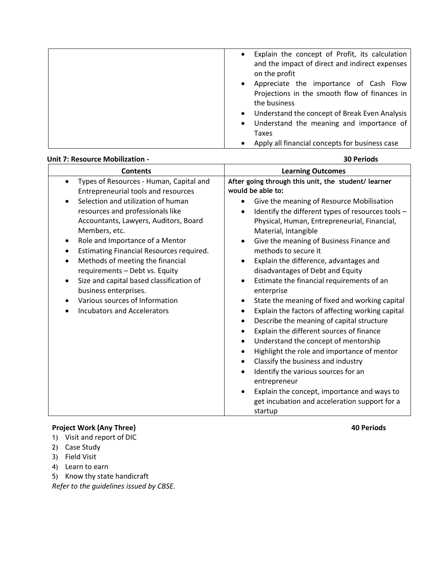| Explain the concept of Profit, its calculation<br>and the impact of direct and indirect expenses |
|--------------------------------------------------------------------------------------------------|
| on the profit                                                                                    |
| Appreciate the importance of Cash Flow                                                           |
| Projections in the smooth flow of finances in                                                    |
| the business                                                                                     |
| Understand the concept of Break Even Analysis                                                    |
| Understand the meaning and importance of<br>$\bullet$                                            |
| Taxes                                                                                            |
| Apply all financial concepts for business case                                                   |

| <b>Unit 7: Resource Mobilization -</b>                                                                                                                                                                                                                                                                                                                                                                                                                                                                                                                                                                          | <b>30 Periods</b>                                                                                                                                                                                                                                                                                                                                                                                                                                                                                                                                                                                                                                                                                                                                                                                                                                                                                                                                                                                                                                                                                                                                   |
|-----------------------------------------------------------------------------------------------------------------------------------------------------------------------------------------------------------------------------------------------------------------------------------------------------------------------------------------------------------------------------------------------------------------------------------------------------------------------------------------------------------------------------------------------------------------------------------------------------------------|-----------------------------------------------------------------------------------------------------------------------------------------------------------------------------------------------------------------------------------------------------------------------------------------------------------------------------------------------------------------------------------------------------------------------------------------------------------------------------------------------------------------------------------------------------------------------------------------------------------------------------------------------------------------------------------------------------------------------------------------------------------------------------------------------------------------------------------------------------------------------------------------------------------------------------------------------------------------------------------------------------------------------------------------------------------------------------------------------------------------------------------------------------|
| <b>Contents</b>                                                                                                                                                                                                                                                                                                                                                                                                                                                                                                                                                                                                 | <b>Learning Outcomes</b>                                                                                                                                                                                                                                                                                                                                                                                                                                                                                                                                                                                                                                                                                                                                                                                                                                                                                                                                                                                                                                                                                                                            |
| Types of Resources - Human, Capital and<br>$\bullet$<br>Entrepreneurial tools and resources<br>Selection and utilization of human<br>resources and professionals like<br>Accountants, Lawyers, Auditors, Board<br>Members, etc.<br>Role and Importance of a Mentor<br>$\bullet$<br>Estimating Financial Resources required.<br>$\bullet$<br>Methods of meeting the financial<br>$\bullet$<br>requirements - Debt vs. Equity<br>Size and capital based classification of<br>$\bullet$<br>business enterprises.<br>Various sources of Information<br>$\bullet$<br><b>Incubators and Accelerators</b><br>$\bullet$ | After going through this unit, the student/ learner<br>would be able to:<br>Give the meaning of Resource Mobilisation<br>$\bullet$<br>Identify the different types of resources tools -<br>$\bullet$<br>Physical, Human, Entrepreneurial, Financial,<br>Material, Intangible<br>Give the meaning of Business Finance and<br>$\bullet$<br>methods to secure it<br>Explain the difference, advantages and<br>$\bullet$<br>disadvantages of Debt and Equity<br>Estimate the financial requirements of an<br>$\bullet$<br>enterprise<br>State the meaning of fixed and working capital<br>$\bullet$<br>Explain the factors of affecting working capital<br>$\bullet$<br>Describe the meaning of capital structure<br>$\bullet$<br>Explain the different sources of finance<br>$\bullet$<br>Understand the concept of mentorship<br>$\bullet$<br>Highlight the role and importance of mentor<br>$\bullet$<br>Classify the business and industry<br>$\bullet$<br>Identify the various sources for an<br>$\bullet$<br>entrepreneur<br>Explain the concept, importance and ways to<br>$\bullet$<br>get incubation and acceleration support for a<br>startup |

# **Project Work (Any Three) 40 Periods**

- 1) Visit and report of DIC
- 2) Case Study
- 3) Field Visit
- 4) Learn to earn
- 5) Know thy state handicraft

*Refer to the guidelines issued by CBSE.*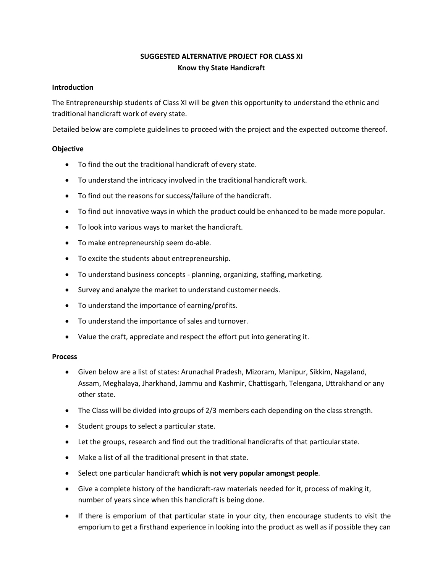## **SUGGESTED ALTERNATIVE PROJECT FOR CLASS XI Know thy State Handicraft**

### **Introduction**

The Entrepreneurship students of Class XI will be given this opportunity to understand the ethnic and traditional handicraft work of every state.

Detailed below are complete guidelines to proceed with the project and the expected outcome thereof.

## **Objective**

- To find the out the traditional handicraft of every state.
- To understand the intricacy involved in the traditional handicraft work.
- To find out the reasons for success/failure of the handicraft.
- To find out innovative ways in which the product could be enhanced to be made more popular.
- To look into various ways to market the handicraft.
- To make entrepreneurship seem do-able.
- To excite the students about entrepreneurship.
- To understand business concepts planning, organizing, staffing,marketing.
- Survey and analyze the market to understand customer needs.
- To understand the importance of earning/profits.
- To understand the importance of sales and turnover.
- Value the craft, appreciate and respect the effort put into generating it.

### **Process**

- Given below are a list of states: Arunachal Pradesh, Mizoram, Manipur, Sikkim, Nagaland, Assam, Meghalaya, Jharkhand, Jammu and Kashmir, Chattisgarh, Telengana, Uttrakhand or any other state.
- The Class will be divided into groups of 2/3 members each depending on the class strength.
- Student groups to select a particular state.
- Let the groups, research and find out the traditional handicrafts of that particularstate.
- Make a list of all the traditional present in that state.
- Select one particular handicraft **which is not very popular amongst people**.
- Give a complete history of the handicraft-raw materials needed for it, process of making it, number of years since when this handicraft is being done.
- If there is emporium of that particular state in your city, then encourage students to visit the emporium to get a firsthand experience in looking into the product as well as if possible they can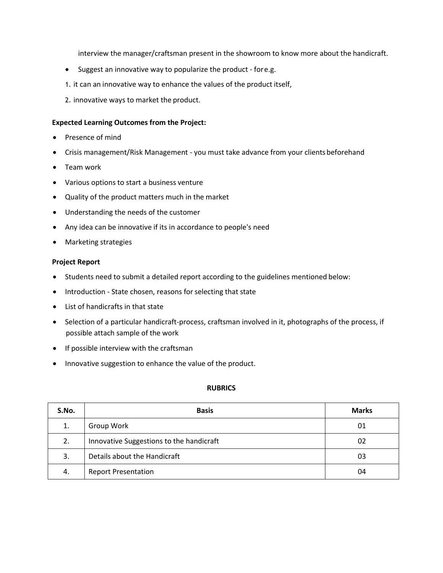interview the manager/craftsman present in the showroom to know more about the handicraft.

- Suggest an innovative way to popularize the product fore.g.
- 1. it can an innovative way to enhance the values of the product itself,
- 2. innovative ways to market the product.

### **Expected Learning Outcomes from the Project:**

- Presence of mind
- Crisis management/Risk Management you must take advance from your clients beforehand
- Team work
- Various options to start a business venture
- Quality of the product matters much in the market
- Understanding the needs of the customer
- Any idea can be innovative if its in accordance to people's need
- Marketing strategies

### **Project Report**

- Students need to submit a detailed report according to the guidelines mentioned below:
- Introduction State chosen, reasons for selecting that state
- List of handicrafts in that state
- Selection of a particular handicraft-process, craftsman involved in it, photographs of the process, if possible attach sample of the work
- If possible interview with the craftsman
- Innovative suggestion to enhance the value of the product.

### **RUBRICS**

| S.No. | <b>Basis</b>                             | <b>Marks</b> |
|-------|------------------------------------------|--------------|
|       | Group Work                               | 01           |
| 2.    | Innovative Suggestions to the handicraft | 02           |
| 3.    | Details about the Handicraft             | 03           |
| 4.    | <b>Report Presentation</b>               | 04           |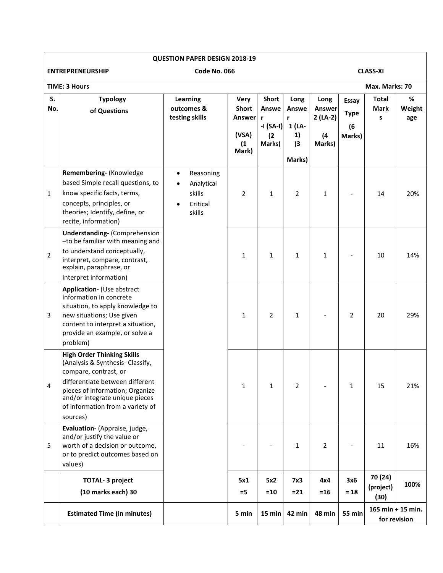|                | <b>QUESTION PAPER DESIGN 2018-19</b>                                                                                                                                                                                                                   |                                                                                                |                                                                |                                                   |                                                     |                                                     |                                       |                                     |                    |
|----------------|--------------------------------------------------------------------------------------------------------------------------------------------------------------------------------------------------------------------------------------------------------|------------------------------------------------------------------------------------------------|----------------------------------------------------------------|---------------------------------------------------|-----------------------------------------------------|-----------------------------------------------------|---------------------------------------|-------------------------------------|--------------------|
|                | <b>ENTREPRENEURSHIP</b><br>Code No. 066<br><b>CLASS-XI</b>                                                                                                                                                                                             |                                                                                                |                                                                |                                                   |                                                     |                                                     |                                       |                                     |                    |
|                | <b>TIME: 3 Hours</b><br>Max. Marks: 70                                                                                                                                                                                                                 |                                                                                                |                                                                |                                                   |                                                     |                                                     |                                       |                                     |                    |
| S.<br>No.      | <b>Typology</b><br>of Questions                                                                                                                                                                                                                        | Learning<br>outcomes &<br>testing skills                                                       | <b>Very</b><br><b>Short</b><br>Answer<br>(VSA)<br>(1)<br>Mark) | Short<br>Answe<br>r<br>-I (SA-I)<br>(2)<br>Marks) | Long<br>Answe<br>r<br>1 (LA-<br>1)<br>(3)<br>Marks) | Long<br><b>Answer</b><br>$2(LA-2)$<br>(4)<br>Marks) | Essay<br><b>Type</b><br>(6)<br>Marks) | <b>Total</b><br><b>Mark</b><br>s    | %<br>Weight<br>age |
| $\mathbf{1}$   | Remembering- (Knowledge<br>based Simple recall questions, to<br>know specific facts, terms,<br>concepts, principles, or<br>theories; Identify, define, or<br>recite, information)                                                                      | Reasoning<br>$\bullet$<br>Analytical<br>$\bullet$<br>skills<br>Critical<br>$\bullet$<br>skills | $\overline{2}$                                                 | 1                                                 | $\overline{2}$                                      | 1                                                   |                                       | 14                                  | 20%                |
| $\overline{2}$ | <b>Understanding- (Comprehension</b><br>-to be familiar with meaning and<br>to understand conceptually,<br>interpret, compare, contrast,<br>explain, paraphrase, or<br>interpret information)                                                          |                                                                                                | $\mathbf{1}$                                                   | 1                                                 | $\mathbf{1}$                                        | $\mathbf{1}$                                        |                                       | 10                                  | 14%                |
| 3              | Application- (Use abstract<br>information in concrete<br>situation, to apply knowledge to<br>new situations; Use given<br>content to interpret a situation,<br>provide an example, or solve a<br>problem)                                              |                                                                                                | 1                                                              | $\overline{2}$                                    | $\mathbf{1}$                                        |                                                     | $\overline{2}$                        | 20                                  | 29%                |
| 4              | <b>High Order Thinking Skills</b><br>(Analysis & Synthesis- Classify,<br>compare, contrast, or<br>differentiate between different<br>pieces of information; Organize<br>and/or integrate unique pieces<br>of information from a variety of<br>sources) |                                                                                                | $\mathbf{1}$                                                   | $\mathbf{1}$                                      | $\overline{2}$                                      |                                                     | $\mathbf{1}$                          | 15                                  | 21%                |
| 5              | Evaluation- (Appraise, judge,<br>and/or justify the value or<br>worth of a decision or outcome,<br>or to predict outcomes based on<br>values)                                                                                                          |                                                                                                |                                                                |                                                   | 1                                                   | $\overline{2}$                                      |                                       | 11                                  | 16%                |
|                | <b>TOTAL- 3 project</b><br>(10 marks each) 30                                                                                                                                                                                                          |                                                                                                | 5x1<br>$=$ 5                                                   | 5x2<br>$= 10$                                     | 7x3<br>$=21$                                        | 4x4<br>$=16$                                        | 3x6<br>$= 18$                         | 70 (24)<br>(project)<br>(30)        | 100%               |
|                | <b>Estimated Time (in minutes)</b>                                                                                                                                                                                                                     |                                                                                                | 5 min                                                          | 15 min                                            | 42 min                                              | 48 min                                              | <b>55 min</b>                         | 165 min $+$ 15 min.<br>for revision |                    |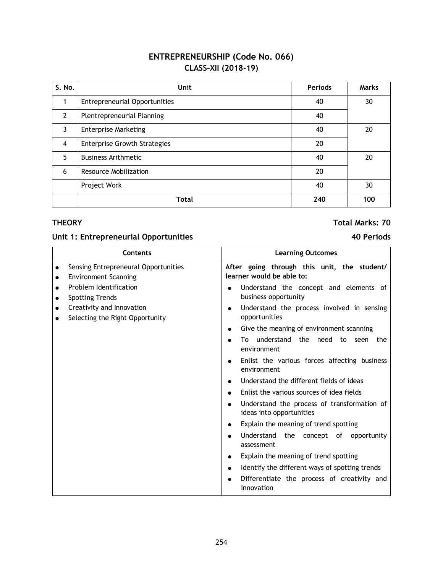# **ENTREPRENEURSHIP (Code No. 066) CLASS–XII (2018-19)**

| S. No.         | Unit                                 | <b>Periods</b> | <b>Marks</b> |  |  |
|----------------|--------------------------------------|----------------|--------------|--|--|
|                | <b>Entrepreneurial Opportunities</b> | 40             | 30           |  |  |
| $\overline{2}$ | Plentrepreneurial Planning           | 40             |              |  |  |
| 3              | <b>Enterprise Marketing</b>          | 40             |              |  |  |
| $\overline{4}$ | <b>Enterprise Growth Strategies</b>  | 20             |              |  |  |
| 5              | <b>Business Arithmetic</b>           | 40             | 20           |  |  |
| 6              | Resource Mobilization                | 20             |              |  |  |
|                | Project Work                         | 40             | 30           |  |  |
|                | <b>Total</b>                         | 240            | 100          |  |  |

## **Unit 1: Entrepreneurial Opportunities 40 Periods**

### **Contents Learning Outcomes •** Sensing Entrepreneural Opportunities **•** Environment Scanning • Problem Identification • Spotting Trends **•** Creativity and Innovation • Selecting the Right Opportunity **After going through this unit, the student/ learner would be able to:**  • Understand the concept and elements of business opportunity • Understand the process involved in sensing opportunities Give the meaning of environment scanning To understand the need to seen the environment Enlist the various forces affecting business environment  $\bullet$  Understand the different fields of ideas Enlist the various sources of idea fields • Understand the process of transformation of ideas into opportunities • Explain the meaning of trend spotting Understand the concept of opportunity assessment • Explain the meaning of trend spotting • Identify the different ways of spotting trends Differentiate the process of creativity and innovation

## **THEORY Total Marks: 70**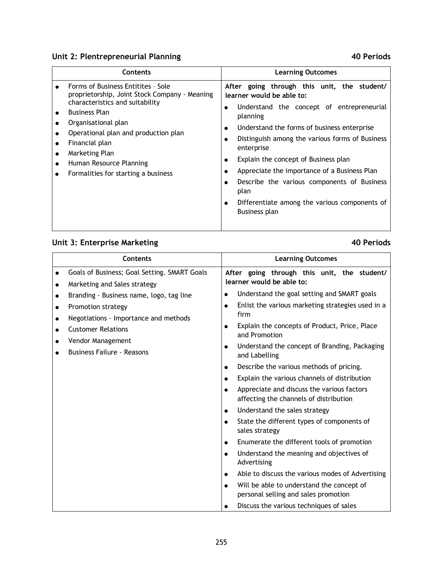# **Unit 2: Plentrepreneurial Planning 40 Periods**

| Contents                                                                                                                                                                                                                                                                                                            | <b>Learning Outcomes</b>                                                                                                                                                                                                                                                                                                                                                                                                                                                                     |
|---------------------------------------------------------------------------------------------------------------------------------------------------------------------------------------------------------------------------------------------------------------------------------------------------------------------|----------------------------------------------------------------------------------------------------------------------------------------------------------------------------------------------------------------------------------------------------------------------------------------------------------------------------------------------------------------------------------------------------------------------------------------------------------------------------------------------|
| Forms of Business Entitites - Sole<br>proprietorship, Joint Stock Company - Meaning<br>characteristics and suitability<br><b>Business Plan</b><br>Organisational plan<br>Operational plan and production plan<br>Financial plan<br>Marketing Plan<br>Human Resource Planning<br>Formalities for starting a business | After going through this unit, the student/<br>learner would be able to:<br>Understand the concept of entrepreneurial<br>planning<br>Understand the forms of business enterprise<br>$\bullet$<br>Distinguish among the various forms of Business<br>enterprise<br>Explain the concept of Business plan<br>Appreciate the importance of a Business Plan<br>Describe the various components of Business<br>plan<br>Differentiate among the various components of<br>$\bullet$<br>Business plan |

# **Unit 3: Enterprise Marketing 40 Periods**

 $\blacksquare$ 

| Contents  |                                                        |                                                                                                   | <b>Learning Outcomes</b>                                                          |  |  |  |  |  |
|-----------|--------------------------------------------------------|---------------------------------------------------------------------------------------------------|-----------------------------------------------------------------------------------|--|--|--|--|--|
|           | Goals of Business; Goal Setting. SMART Goals           |                                                                                                   | After going through this unit, the student/                                       |  |  |  |  |  |
| $\bullet$ | Marketing and Sales strategy                           | learner would be able to:                                                                         |                                                                                   |  |  |  |  |  |
|           | Branding - Business name, logo, tag line               | $\bullet$                                                                                         | Understand the goal setting and SMART goals                                       |  |  |  |  |  |
| $\bullet$ | Promotion strategy                                     | $\bullet$                                                                                         | Enlist the various marketing strategies used in a                                 |  |  |  |  |  |
|           | Negotiations - Importance and methods                  |                                                                                                   | firm                                                                              |  |  |  |  |  |
| $\bullet$ | <b>Customer Relations</b>                              | $\bullet$                                                                                         | Explain the concepts of Product, Price, Place<br>and Promotion                    |  |  |  |  |  |
|           | Vendor Management<br><b>Business Failure - Reasons</b> | $\bullet$                                                                                         | Understand the concept of Branding, Packaging<br>and Labelling                    |  |  |  |  |  |
|           |                                                        | $\bullet$                                                                                         | Describe the various methods of pricing.                                          |  |  |  |  |  |
|           |                                                        | $\bullet$                                                                                         | Explain the various channels of distribution                                      |  |  |  |  |  |
|           |                                                        | Appreciate and discuss the various factors<br>$\bullet$<br>affecting the channels of distribution |                                                                                   |  |  |  |  |  |
|           |                                                        | Understand the sales strategy<br>$\bullet$                                                        |                                                                                   |  |  |  |  |  |
|           |                                                        |                                                                                                   | State the different types of components of<br>sales strategy                      |  |  |  |  |  |
|           |                                                        | $\bullet$                                                                                         | Enumerate the different tools of promotion                                        |  |  |  |  |  |
|           |                                                        | $\bullet$                                                                                         | Understand the meaning and objectives of<br>Advertising                           |  |  |  |  |  |
|           |                                                        | $\bullet$                                                                                         | Able to discuss the various modes of Advertising                                  |  |  |  |  |  |
|           |                                                        | $\bullet$                                                                                         | Will be able to understand the concept of<br>personal selling and sales promotion |  |  |  |  |  |
|           |                                                        |                                                                                                   | Discuss the various techniques of sales                                           |  |  |  |  |  |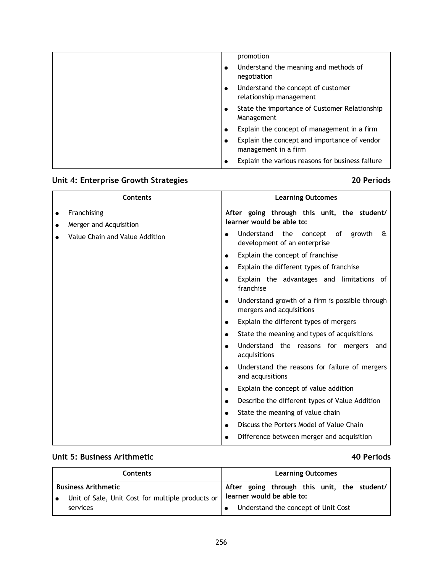| promotion                                                                 |
|---------------------------------------------------------------------------|
| Understand the meaning and methods of<br>٠<br>negotiation                 |
| Understand the concept of customer<br>٠<br>relationship management        |
| State the importance of Customer Relationship<br>$\bullet$<br>Management  |
| Explain the concept of management in a firm<br>$\bullet$                  |
| Explain the concept and importance of vendor<br>٠<br>management in a firm |
| Explain the various reasons for business failure<br>٠                     |

# **Unit 4: Enterprise Growth Strategies 20 Periods**

| Contents                              | <b>Learning Outcomes</b>                                                                 |    |  |  |  |  |
|---------------------------------------|------------------------------------------------------------------------------------------|----|--|--|--|--|
| Franchising<br>Merger and Acquisition | After going through this unit, the student/<br>learner would be able to:                 |    |  |  |  |  |
| Value Chain and Value Addition        | Understand<br>the<br>concept<br>growth<br>of<br>development of an enterprise             | εt |  |  |  |  |
|                                       | Explain the concept of franchise<br>$\bullet$                                            |    |  |  |  |  |
|                                       | Explain the different types of franchise<br>$\bullet$                                    |    |  |  |  |  |
|                                       | Explain the advantages and limitations of<br>$\bullet$<br>franchise                      |    |  |  |  |  |
|                                       | Understand growth of a firm is possible through<br>$\bullet$<br>mergers and acquisitions |    |  |  |  |  |
|                                       | Explain the different types of mergers<br>$\bullet$                                      |    |  |  |  |  |
|                                       | State the meaning and types of acquisitions<br>$\bullet$                                 |    |  |  |  |  |
|                                       | Understand the reasons for mergers and<br>acquisitions                                   |    |  |  |  |  |
|                                       | Understand the reasons for failure of mergers<br>$\bullet$<br>and acquisitions           |    |  |  |  |  |
|                                       | Explain the concept of value addition<br>$\bullet$                                       |    |  |  |  |  |
|                                       | Describe the different types of Value Addition<br>$\bullet$                              |    |  |  |  |  |
|                                       | State the meaning of value chain<br>$\bullet$                                            |    |  |  |  |  |
|                                       | Discuss the Porters Model of Value Chain<br>$\bullet$                                    |    |  |  |  |  |
|                                       | Difference between merger and acquisition<br>$\bullet$                                   |    |  |  |  |  |

# **Unit 5: Business Arithmetic 40 Periods**

| <b>Contents</b>                                  | <b>Learning Outcomes</b>                    |  |  |  |  |  |  |  |
|--------------------------------------------------|---------------------------------------------|--|--|--|--|--|--|--|
| <b>Business Arithmetic</b>                       | After going through this unit, the student/ |  |  |  |  |  |  |  |
| Unit of Sale, Unit Cost for multiple products or | learner would be able to:                   |  |  |  |  |  |  |  |
| services                                         | Understand the concept of Unit Cost         |  |  |  |  |  |  |  |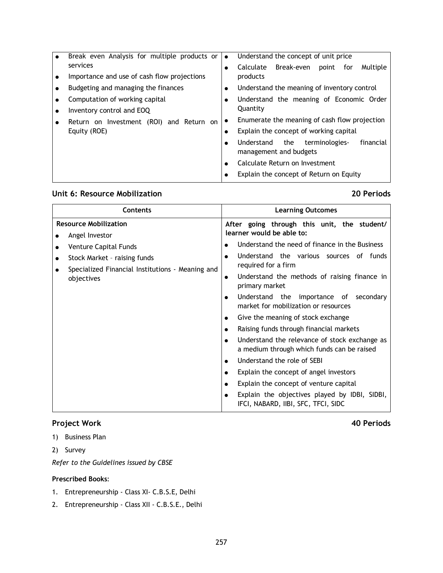| Break even Analysis for multiple products or | $\bullet$ | Understand the concept of unit price                                       |  |  |  |  |  |  |
|----------------------------------------------|-----------|----------------------------------------------------------------------------|--|--|--|--|--|--|
| services                                     |           | Calculate Break-even<br>Multiple<br>point<br>for                           |  |  |  |  |  |  |
| Importance and use of cash flow projections  |           | products                                                                   |  |  |  |  |  |  |
| Budgeting and managing the finances          | $\bullet$ | Understand the meaning of inventory control                                |  |  |  |  |  |  |
| Computation of working capital               |           | Understand the meaning of Economic Order                                   |  |  |  |  |  |  |
| Inventory control and EOQ                    |           | Quantity                                                                   |  |  |  |  |  |  |
| Return on Investment (ROI) and Return on     |           | Enumerate the meaning of cash flow projection                              |  |  |  |  |  |  |
| Equity (ROE)                                 |           | Explain the concept of working capital                                     |  |  |  |  |  |  |
|                                              |           | financial<br>Understand<br>the<br>terminologies-<br>management and budgets |  |  |  |  |  |  |
|                                              |           | Calculate Return on Investment                                             |  |  |  |  |  |  |
|                                              |           | Explain the concept of Return on Equity                                    |  |  |  |  |  |  |

## **Unit 6: Resource Mobilization 20 Periods**

## **Project Work 40 Periods**

- 1) Business Plan
- 2) Survey

*Refer to the Guidelines issued by CBSE*

## **Prescribed Books**:

- 1. Entrepreneurship Class XI- C.B.S.E, Delhi
- 2. Entrepreneurship Class XII C.B.S.E., Delhi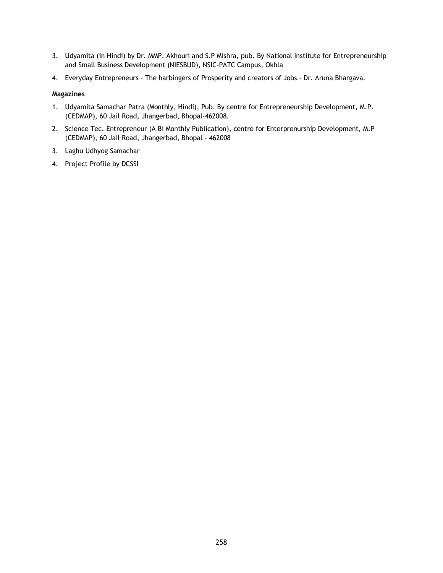- 3. Udyamita (in Hindi) by Dr. MMP. Akhouri and S.P Mishra, pub. By National Institute for Entrepreneurship and Small Business Development (NIESBUD), NSIC-PATC Campus, Okhla
- 4. Everyday Entrepreneurs The harbingers of Prosperity and creators of Jobs Dr. Aruna Bhargava.

### **Magazines**

- 1. Udyamita Samachar Patra (Monthly, Hindi), Pub. By centre for Entrepreneurship Development, M.P. (CEDMAP), 60 Jail Road, Jhangerbad, Bhopal-462008.
- 2. Science Tec. Entrepreneur (A Bi Monthly Publication), centre for Enterprenurship Development, M.P (CEDMAP), 60 Jail Road, Jhangerbad, Bhopal - 462008
- 3. Laghu Udhyog Samachar
- 4. Project Profile by DCSSI